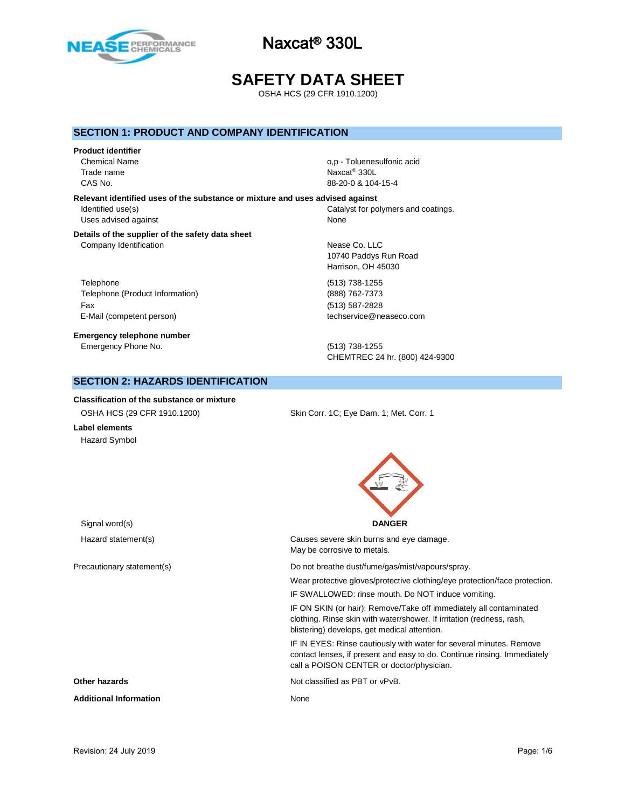

# **SAFETY DATA SHEET**

OSHA HCS (29 CFR 1910.1200)

### **SECTION 1: PRODUCT AND COMPANY IDENTIFICATION**

#### **Product identifier**

Trade name

**Relevant identified uses of the substance or mixture and uses advised against** Uses advised against None

#### **Details of the supplier of the safety data sheet** Company Identification **Nearly 19** Nease Co. LLC

Telephone (513) 738-1255 Telephone (Product Information) (888) 762-7373 Fax (513) 587-2828 E-Mail (competent person) example the techservice@neaseco.com

**Emergency telephone number** Emergency Phone No. (513) 738-1255

Chemical Name **of the Chemical Name** o,p - Toluenesulfonic acid Naxcat<sup>®</sup> 330L CAS No. 88-20-0 & 104-15-4

Identified use(s) The Internal Catalyst for polymers and coatings.

10740 Paddys Run Road Harrison, OH 45030

CHEMTREC 24 hr. (800) 424-9300

### **SECTION 2: HAZARDS IDENTIFICATION**

### **Classification of the substance or mixture** OSHA HCS (29 CFR 1910.1200) Skin Corr. 1C; Eye Dam. 1; Met. Corr. 1

**Label elements** Hazard Symbol



Hazard statement(s) Causes severe skin burns and eye damage. May be corrosive to metals.

Precautionary statement(s) example and the Do not breathe dust/fume/gas/mist/vapours/spray.

Wear protective gloves/protective clothing/eye protection/face protection.

IF SWALLOWED: rinse mouth. Do NOT induce vomiting.

IF ON SKIN (or hair): Remove/Take off immediately all contaminated clothing. Rinse skin with water/shower. If irritation (redness, rash, blistering) develops, get medical attention.

IF IN EYES: Rinse cautiously with water for several minutes. Remove contact lenses, if present and easy to do. Continue rinsing. Immediately call a POISON CENTER or doctor/physician.

**Other hazards Other hazards Not classified as PBT or vPvB.** 

**Additional Information** None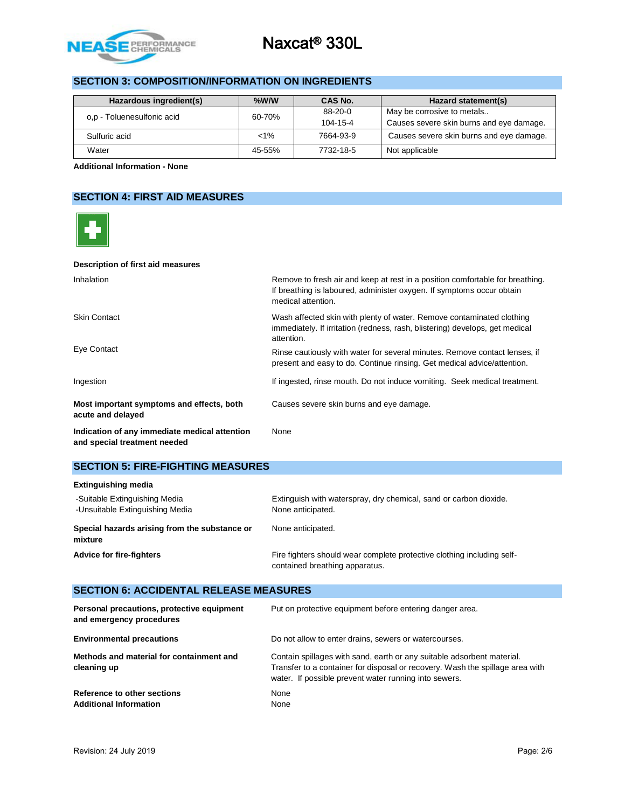

# **SECTION 3: COMPOSITION/INFORMATION ON INGREDIENTS**

| Hazardous ingredient(s)    | $%$ W/W | CAS No.   | Hazard statement(s)                      |
|----------------------------|---------|-----------|------------------------------------------|
|                            | 60-70%  | $88-20-0$ | May be corrosive to metals               |
| o.p - Toluenesulfonic acid |         | 104-15-4  | Causes severe skin burns and eye damage. |
| Sulfuric acid              | $< 1\%$ | 7664-93-9 | Causes severe skin burns and eye damage. |
| Water                      | 45-55%  | 7732-18-5 | Not applicable                           |

**Additional Information - None**

# **SECTION 4: FIRST AID MEASURES**



#### **SECTION 5: FIRE-FIGHTING MEASURES**

| <b>Extinguishing media</b>                                       |                                                                                                          |
|------------------------------------------------------------------|----------------------------------------------------------------------------------------------------------|
| -Suitable Extinguishing Media<br>-Unsuitable Extinguishing Media | Extinguish with waterspray, dry chemical, sand or carbon dioxide.<br>None anticipated.                   |
| Special hazards arising from the substance or<br>mixture         | None anticipated.                                                                                        |
| <b>Advice for fire-fighters</b>                                  | Fire fighters should wear complete protective clothing including self-<br>contained breathing apparatus. |

### **SECTION 6: ACCIDENTAL RELEASE MEASURES**

| Personal precautions, protective equipment<br>and emergency procedures | Put on protective equipment before entering danger area.                                                                                                                                                         |
|------------------------------------------------------------------------|------------------------------------------------------------------------------------------------------------------------------------------------------------------------------------------------------------------|
| <b>Environmental precautions</b>                                       | Do not allow to enter drains, sewers or watercourses.                                                                                                                                                            |
| Methods and material for containment and<br>cleaning up                | Contain spillages with sand, earth or any suitable adsorbent material.<br>Transfer to a container for disposal or recovery. Wash the spillage area with<br>water. If possible prevent water running into sewers. |
| Reference to other sections<br><b>Additional Information</b>           | None<br>None                                                                                                                                                                                                     |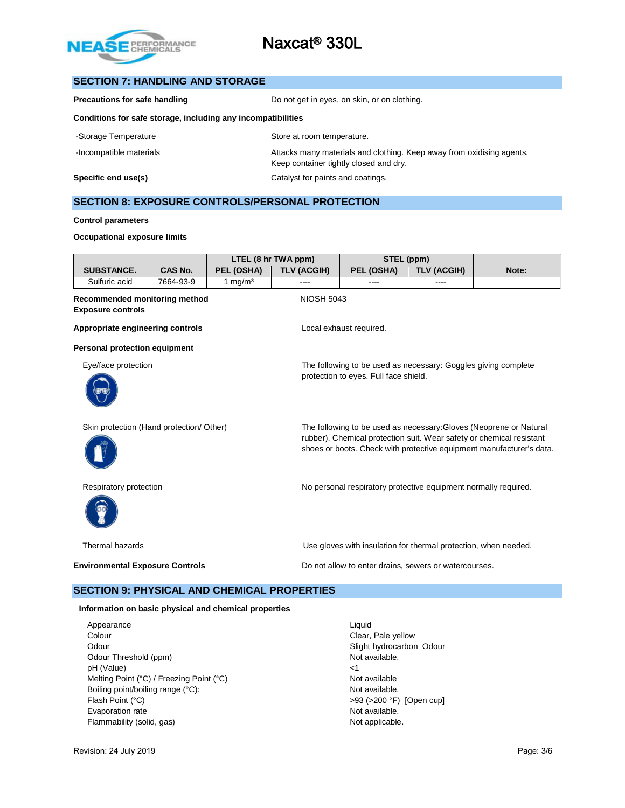

#### **SECTION 7: HANDLING AND STORAGE**

| Precautions for safe handling                                | Do not get in eyes, on skin, or on clothing. |  |
|--------------------------------------------------------------|----------------------------------------------|--|
| Conditions for safe storage, including any incompatibilities |                                              |  |
| -Storage Temperature                                         | Store at room temperature.                   |  |

-Incompatible materials **Attacks many materials and clothing. Keep away from oxidising agents.** 

**Specific end use(s)** Catalyst for paints and coatings.

Keep container tightly closed and dry.

# **SECTION 8: EXPOSURE CONTROLS/PERSONAL PROTECTION**

#### **Control parameters**

#### **Occupational exposure limits**

|                                                           |                                                       |            | LTEL (8 hr TWA ppm) | STEL (ppm)                                                                                                                                                                                                         |                    |       |  |
|-----------------------------------------------------------|-------------------------------------------------------|------------|---------------------|--------------------------------------------------------------------------------------------------------------------------------------------------------------------------------------------------------------------|--------------------|-------|--|
| <b>SUBSTANCE.</b>                                         | <b>CAS No.</b>                                        | PEL (OSHA) | <b>TLV (ACGIH)</b>  | PEL (OSHA)                                                                                                                                                                                                         | <b>TLV (ACGIH)</b> | Note: |  |
| Sulfuric acid                                             | 7664-93-9                                             | 1 mg/m $3$ |                     |                                                                                                                                                                                                                    |                    |       |  |
| Recommended monitoring method<br><b>Exposure controls</b> |                                                       |            | <b>NIOSH 5043</b>   |                                                                                                                                                                                                                    |                    |       |  |
| Appropriate engineering controls                          |                                                       |            |                     | Local exhaust required.                                                                                                                                                                                            |                    |       |  |
| Personal protection equipment                             |                                                       |            |                     |                                                                                                                                                                                                                    |                    |       |  |
| Eye/face protection                                       |                                                       |            |                     | The following to be used as necessary: Goggles giving complete<br>protection to eyes. Full face shield.                                                                                                            |                    |       |  |
| Skin protection (Hand protection/ Other)                  |                                                       |            |                     | The following to be used as necessary: Gloves (Neoprene or Natural<br>rubber). Chemical protection suit. Wear safety or chemical resistant<br>shoes or boots. Check with protective equipment manufacturer's data. |                    |       |  |
| Respiratory protection                                    |                                                       |            |                     | No personal respiratory protective equipment normally required.                                                                                                                                                    |                    |       |  |
| Thermal hazards                                           |                                                       |            |                     | Use gloves with insulation for thermal protection, when needed.                                                                                                                                                    |                    |       |  |
| <b>Environmental Exposure Controls</b>                    |                                                       |            |                     | Do not allow to enter drains, sewers or watercourses.                                                                                                                                                              |                    |       |  |
|                                                           | <b>SECTION 9: PHYSICAL AND CHEMICAL PROPERTIES</b>    |            |                     |                                                                                                                                                                                                                    |                    |       |  |
|                                                           | Information on basic physical and chemical properties |            |                     |                                                                                                                                                                                                                    |                    |       |  |

Appearance Liquid Colour Colour Colour Colour Clear, Pale yellow Odour **Slight hydrocarbon Odour** Slight hydrocarbon Odour Odour Threshold (ppm) Not available. pH (Value)  $\leq 1$ Melting Point (°C) / Freezing Point (°C) Not available Boiling point/boiling range (°C): Not available. Flash Point (°C)  $>93$  (>200 °F) [Open cup] Evaporation rate **Not available.** The Not available. Flammability (solid, gas) Not applicable.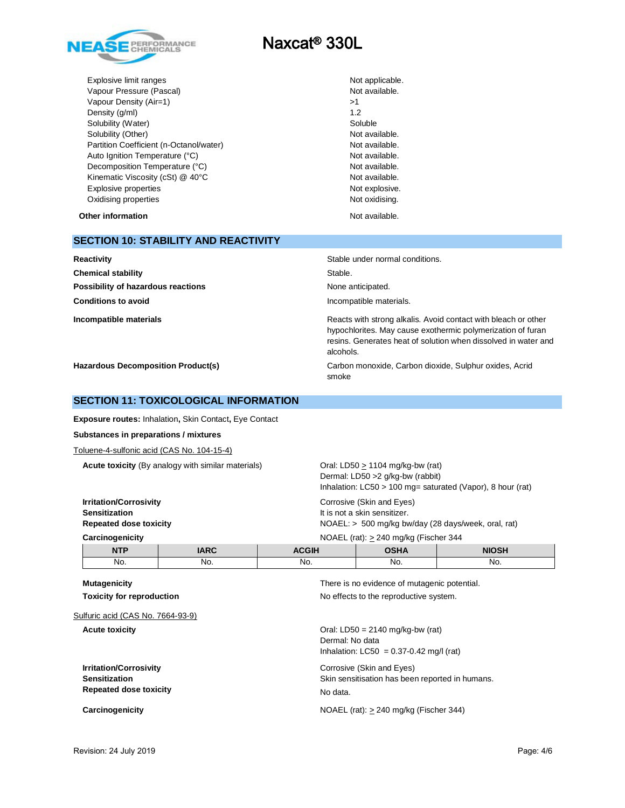

Explosive limit ranges **Not applicable**. Vapour Pressure (Pascal) Not available. Vapour Density (Air=1)  $>1$ Density (g/ml) 1.2 Solubility (Water) <br>Solubility (Other) Solubility (Other) and Solubility (Other) Solubility (Other) and Solubility (Other) and Solu Solubility (Other) Partition Coefficient (n-Octanol/water) Not available. Auto Ignition Temperature (°C) and the contract of the Not available. Decomposition Temperature (°C) Not available. Kinematic Viscosity (cSt) @ 40°C Not available. Explosive properties **Note and Secure 2018** Not explosive. Oxidising properties **Not oxidising.** Not oxidising.

**Other information** and the state of the state of the state of the Not available.

| <b>SECTION 10: STABILITY AND REACTIVITY</b> |  |
|---------------------------------------------|--|
|---------------------------------------------|--|

| Reactivity                                | Stable under normal conditions.                                                                                                                                                                              |
|-------------------------------------------|--------------------------------------------------------------------------------------------------------------------------------------------------------------------------------------------------------------|
| <b>Chemical stability</b>                 | Stable.                                                                                                                                                                                                      |
| Possibility of hazardous reactions        | None anticipated.                                                                                                                                                                                            |
| <b>Conditions to avoid</b>                | Incompatible materials.                                                                                                                                                                                      |
| Incompatible materials                    | Reacts with strong alkalis. Avoid contact with bleach or other<br>hypochlorites. May cause exothermic polymerization of furan<br>resins. Generates heat of solution when dissolved in water and<br>alcohols. |
| <b>Hazardous Decomposition Product(s)</b> | Carbon monoxide, Carbon dioxide, Sulphur oxides, Acrid<br>smoke                                                                                                                                              |

#### **SECTION 11: TOXICOLOGICAL INFORMATION**

**Exposure routes:** Inhalation**,** Skin Contact**,** Eye Contact

**Substances in preparations / mixtures**

Toluene-4-sulfonic acid (CAS No. 104-15-4)

**Acute toxicity** (By analogy with similar materials) Oral: LD50  $\geq$  1104 mg/kg-bw (rat)

Dermal: LD50 >2 g/kg-bw (rabbit) Inhalation: LC50 > 100 mg= saturated (Vapor), 8 hour (rat)

**Irritation/Corrosivity** Corrosive (Skin and Eyes) **Sensitization It is not a skin sensitizer. Repeated dose toxicity** NOAEL: > 500 mg/kg bw/day (28 days/week, oral, rat) **Carcinogenicity** NOAEL (rat): > 240 mg/kg (Fischer 344

| carcinogenicity |             | $N$ UAEL (rat). $>$ 240 mg/kg (Fischer 344 |      |              |  |  |
|-----------------|-------------|--------------------------------------------|------|--------------|--|--|
| <b>NTP</b>      | <b>IARC</b> | ACGIH                                      | OSHA | <b>NIOSH</b> |  |  |
| No.             | No.         | No.                                        | No.  | No.          |  |  |

Sulfuric acid (CAS No. 7664-93-9)

**Irritation/Corrosivity Corrosivity** Corrosive (Skin and Eyes) **Repeated dose toxicity** No data.

**Mutagenicity Mutagenicity There is no evidence of mutagenic potential. Toxicity for reproduction No effects to the reproductive system.** 

**Acute toxicity Acute toxicity Oral: LD50** = 2140 mg/kg-bw (rat) Dermal: No data Inhalation:  $LC50 = 0.37 - 0.42$  mg/l (rat)

**Sensitization** Skin sensitisation has been reported in humans.

**Carcinogenicity Carcinogenicity Carcinogenicity NOAEL** (rat):  $\geq$  240 mg/kg (Fischer 344)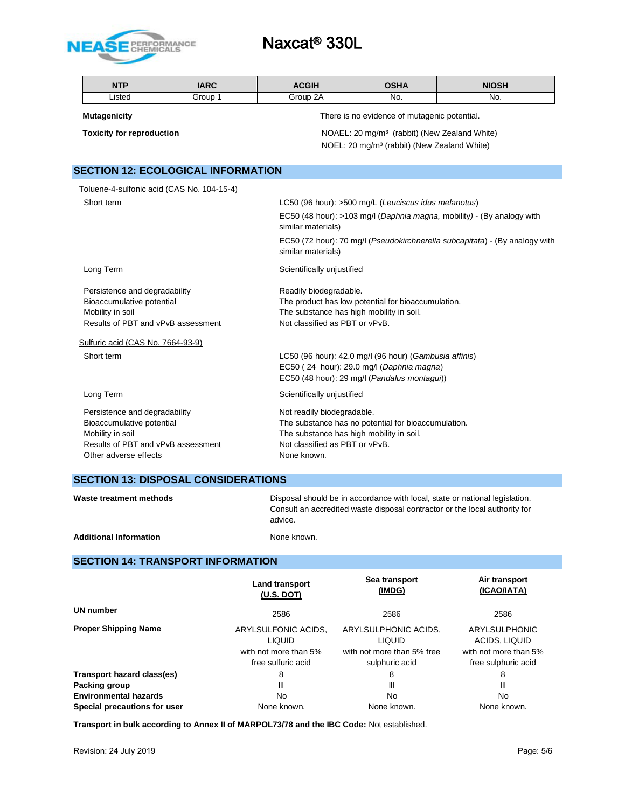

| <b>NTP</b>                        | <b>IARC</b>                                | <b>ACGIH</b>                                                                                      | <b>OSHA</b>                                              | <b>NIOSH</b>                                                           |  |  |  |
|-----------------------------------|--------------------------------------------|---------------------------------------------------------------------------------------------------|----------------------------------------------------------|------------------------------------------------------------------------|--|--|--|
| Listed                            | Group 1                                    | Group 2A                                                                                          | No.                                                      | No.                                                                    |  |  |  |
| <b>Mutagenicity</b>               |                                            |                                                                                                   | There is no evidence of mutagenic potential.             |                                                                        |  |  |  |
| <b>Toxicity for reproduction</b>  |                                            |                                                                                                   | NOAEL: 20 mg/m <sup>3</sup> (rabbit) (New Zealand White) |                                                                        |  |  |  |
|                                   |                                            |                                                                                                   | NOEL: 20 mg/m <sup>3</sup> (rabbit) (New Zealand White)  |                                                                        |  |  |  |
|                                   |                                            |                                                                                                   |                                                          |                                                                        |  |  |  |
|                                   | <b>SECTION 12: ECOLOGICAL INFORMATION</b>  |                                                                                                   |                                                          |                                                                        |  |  |  |
|                                   | Toluene-4-sulfonic acid (CAS No. 104-15-4) |                                                                                                   |                                                          |                                                                        |  |  |  |
| Short term                        |                                            |                                                                                                   | LC50 (96 hour): >500 mg/L (Leuciscus idus melanotus)     |                                                                        |  |  |  |
|                                   |                                            | similar materials)                                                                                |                                                          | EC50 (48 hour): >103 mg/l (Daphnia magna, mobility) - (By analogy with |  |  |  |
|                                   |                                            | EC50 (72 hour): 70 mg/l (Pseudokirchnerella subcapitata) - (By analogy with<br>similar materials) |                                                          |                                                                        |  |  |  |
| Long Term                         |                                            | Scientifically unjustified                                                                        |                                                          |                                                                        |  |  |  |
| Persistence and degradability     |                                            |                                                                                                   | Readily biodegradable.                                   |                                                                        |  |  |  |
| Bioaccumulative potential         |                                            |                                                                                                   | The product has low potential for bioaccumulation.       |                                                                        |  |  |  |
| Mobility in soil                  |                                            |                                                                                                   | The substance has high mobility in soil.                 |                                                                        |  |  |  |
|                                   | Results of PBT and vPvB assessment         | Not classified as PBT or vPvB.                                                                    |                                                          |                                                                        |  |  |  |
| Sulfuric acid (CAS No. 7664-93-9) |                                            |                                                                                                   |                                                          |                                                                        |  |  |  |
| Short term                        |                                            |                                                                                                   | LC50 (96 hour): 42.0 mg/l (96 hour) (Gambusia affinis)   |                                                                        |  |  |  |
|                                   |                                            |                                                                                                   | EC50 (24 hour): 29.0 mg/l (Daphnia magna)                |                                                                        |  |  |  |
|                                   |                                            |                                                                                                   | EC50 (48 hour): 29 mg/l (Pandalus montagui))             |                                                                        |  |  |  |
| Long Term                         |                                            | Scientifically unjustified                                                                        |                                                          |                                                                        |  |  |  |
| Persistence and degradability     |                                            | Not readily biodegradable.                                                                        |                                                          |                                                                        |  |  |  |
| Bioaccumulative potential         |                                            |                                                                                                   | The substance has no potential for bioaccumulation.      |                                                                        |  |  |  |
| Mobility in soil                  |                                            | The substance has high mobility in soil.                                                          |                                                          |                                                                        |  |  |  |
| Other adverse effects             | Results of PBT and vPvB assessment         | Not classified as PBT or vPvB.<br>None known.                                                     |                                                          |                                                                        |  |  |  |
|                                   |                                            |                                                                                                   |                                                          |                                                                        |  |  |  |

# **SECTION 13: DISPOSAL CONSIDERATIONS**

| Waste treatment methods       | Disposal should be in accordance with local, state or national legislation.<br>Consult an accredited waste disposal contractor or the local authority for<br>advice. |
|-------------------------------|----------------------------------------------------------------------------------------------------------------------------------------------------------------------|
| <b>Additional Information</b> | None known.                                                                                                                                                          |

# **SECTION 14: TRANSPORT INFORMATION**

|                              | Land transport<br><u>(U.S. DOT)</u>                                                 | Sea transport<br>(IMDG)                                                               | Air transport<br>(ICAO/IATA)                                                   |
|------------------------------|-------------------------------------------------------------------------------------|---------------------------------------------------------------------------------------|--------------------------------------------------------------------------------|
| <b>UN number</b>             | 2586                                                                                | 2586                                                                                  | 2586                                                                           |
| <b>Proper Shipping Name</b>  | ARYLSULFONIC ACIDS.<br><b>LIQUID</b><br>with not more than 5%<br>free sulfuric acid | ARYLSULPHONIC ACIDS,<br><b>LIQUID</b><br>with not more than 5% free<br>sulphuric acid | ARYLSULPHONIC<br>ACIDS, LIQUID<br>with not more than 5%<br>free sulphuric acid |
| Transport hazard class(es)   | 8                                                                                   | 8                                                                                     | 8                                                                              |
| Packing group                | Ш                                                                                   | Ш                                                                                     | Ш                                                                              |
| <b>Environmental hazards</b> | <b>No</b>                                                                           | No                                                                                    | No.                                                                            |
| Special precautions for user | None known.                                                                         | None known.                                                                           | None known.                                                                    |

**Transport in bulk according to Annex II of MARPOL73/78 and the IBC Code:** Not established.